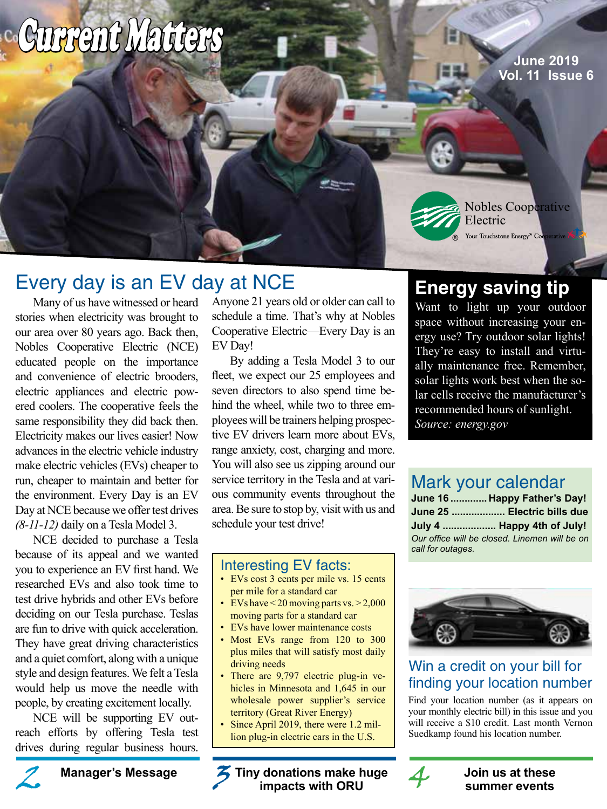# Current Matters

**June 2019 Vol. 11 Issue 6**

# Every day is an EV day at NCE

Many of us have witnessed or heard stories when electricity was brought to our area over 80 years ago. Back then, Nobles Cooperative Electric (NCE) educated people on the importance and convenience of electric brooders, electric appliances and electric powered coolers. The cooperative feels the same responsibility they did back then. Electricity makes our lives easier! Now advances in the electric vehicle industry make electric vehicles (EVs) cheaper to run, cheaper to maintain and better for the environment. Every Day is an EV Day at NCE because we offer test drives *(8-11-12)* daily on a Tesla Model 3.

NCE decided to purchase a Tesla because of its appeal and we wanted you to experience an EV first hand. We researched EVs and also took time to test drive hybrids and other EVs before deciding on our Tesla purchase. Teslas are fun to drive with quick acceleration. They have great driving characteristics and a quiet comfort, along with a unique style and design features. We felt a Tesla would help us move the needle with people, by creating excitement locally.

NCE will be supporting EV outreach efforts by offering Tesla test drives during regular business hours.

Anyone 21 years old or older can call to schedule a time. That's why at Nobles Cooperative Electric—Every Day is an EV Day!

By adding a Tesla Model 3 to our fleet, we expect our 25 employees and seven directors to also spend time behind the wheel, while two to three employees will be trainers helping prospective EV drivers learn more about EVs, range anxiety, cost, charging and more. You will also see us zipping around our service territory in the Tesla and at various community events throughout the area. Be sure to stop by, visit with us and schedule your test drive!

### Interesting EV facts:

- EVs cost 3 cents per mile vs. 15 cents per mile for a standard car
- EVs have  $\leq$  20 moving parts vs.  $\geq$  2,000 moving parts for a standard car
- EVs have lower maintenance costs
- Most EVs range from 120 to 300 plus miles that will satisfy most daily driving needs
- There are 9,797 electric plug-in vehicles in Minnesota and 1,645 in our wholesale power supplier's service territory (Great River Energy)
- Since April 2019, there were 1.2 million plug-in electric cars in the U.S.

**impacts with ORU**

**Energy saving tip**

Electric

®

Nobles Cooperative

Your Touchstone Energy<sup>®</sup> Coo

Want to light up your outdoor space without increasing your energy use? Try outdoor solar lights! They're easy to install and virtually maintenance free. Remember, solar lights work best when the solar cells receive the manufacturer's recommended hours of sunlight. *Source: energy.gov*

### Mark your calendar

|                   | June 16  Happy Father's Day!                  |
|-------------------|-----------------------------------------------|
|                   | June 25  Electric bills due                   |
|                   | July 4  Happy 4th of July!                    |
| call for outages. | Our office will be closed. Linemen will be on |



### Win a credit on your bill for finding your location number

Find your location number (as it appears on your monthly electric bill) in this issue and you will receive a \$10 credit. Last month Vernon Suedkamp found his location number.

**Manager's Message** *Manager's Message* **1011 12 3** 7 Tiny donations make huge **14** 3 Join us at these **14** 3 Join us at these impacts with ORU **summer events**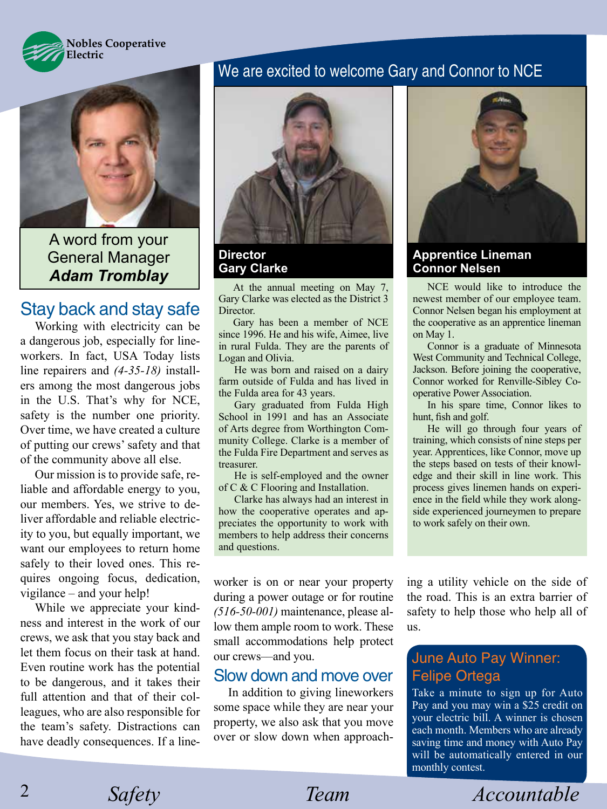



A word from your General Manager *Adam Tromblay*

### Stay back and stay safe

Working with electricity can be a dangerous job, especially for lineworkers. In fact, USA Today lists line repairers and *(4-35-18)* installers among the most dangerous jobs in the U.S. That's why for NCE, safety is the number one priority. Over time, we have created a culture of putting our crews' safety and that of the community above all else.

Our mission is to provide safe, reliable and affordable energy to you, our members. Yes, we strive to deliver affordable and reliable electricity to you, but equally important, we want our employees to return home safely to their loved ones. This requires ongoing focus, dedication, vigilance – and your help!

While we appreciate your kindness and interest in the work of our crews, we ask that you stay back and let them focus on their task at hand. Even routine work has the potential to be dangerous, and it takes their full attention and that of their colleagues, who are also responsible for the team's safety. Distractions can have deadly consequences. If a line-

### We are excited to welcome Gary and Connor to NCE



**Director Gary Clarke**

At the annual meeting on May 7, Gary Clarke was elected as the District 3 **Director** 

Gary has been a member of NCE since 1996. He and his wife, Aimee, live in rural Fulda. They are the parents of Logan and Olivia.

He was born and raised on a dairy farm outside of Fulda and has lived in the Fulda area for 43 years.

Gary graduated from Fulda High School in 1991 and has an Associate of Arts degree from Worthington Community College. Clarke is a member of the Fulda Fire Department and serves as treasurer.

He is self-employed and the owner of C & C Flooring and Installation.

Clarke has always had an interest in how the cooperative operates and appreciates the opportunity to work with members to help address their concerns and questions.

worker is on or near your property during a power outage or for routine *(516-50-001)* maintenance, please allow them ample room to work. These small accommodations help protect our crews––and you.

#### Slow down and move over

In addition to giving lineworkers some space while they are near your property, we also ask that you move over or slow down when approach-



#### **Apprentice Lineman Connor Nelsen**

NCE would like to introduce the newest member of our employee team. Connor Nelsen began his employment at the cooperative as an apprentice lineman on May 1.

Connor is a graduate of Minnesota West Community and Technical College, Jackson. Before joining the cooperative, Connor worked for Renville-Sibley Cooperative Power Association.

In his spare time, Connor likes to hunt, fish and golf.

He will go through four years of training, which consists of nine steps per year. Apprentices, like Connor, move up the steps based on tests of their knowledge and their skill in line work. This process gives linemen hands on experience in the field while they work alongside experienced journeymen to prepare to work safely on their own.

ing a utility vehicle on the side of the road. This is an extra barrier of safety to help those who help all of us.

### June Auto Pay Winner: Felipe Ortega

Take a minute to sign up for Auto Pay and you may win a \$25 credit on your electric bill. A winner is chosen each month. Members who are already saving time and money with Auto Pay will be automatically entered in our monthly contest.

*Safety Team Accountable*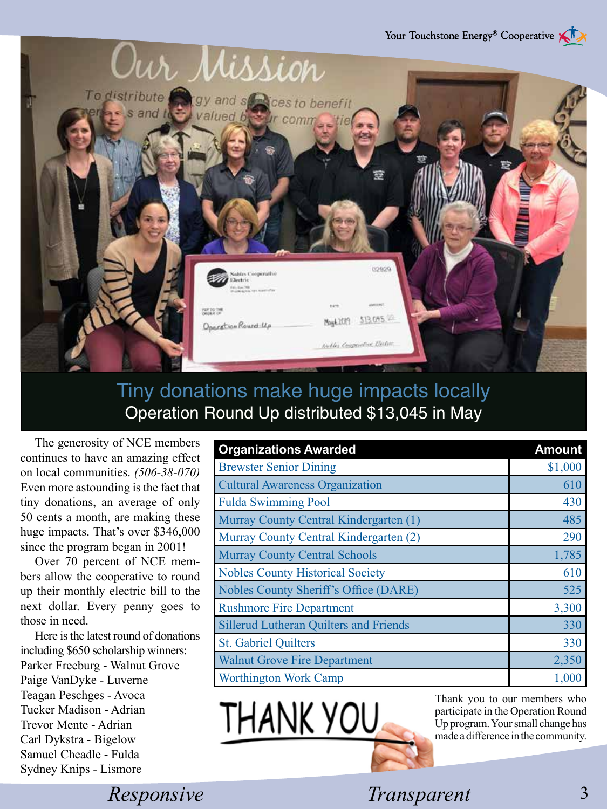

# Tiny donations make huge impacts locally Operation Round Up distributed \$13,045 in May

The generosity of NCE members continues to have an amazing effect on local communities. *(506-38-070)*  Even more astounding is the fact that tiny donations, an average of only 50 cents a month, are making these huge impacts. That's over \$346,000 since the program began in 2001!

Over 70 percent of NCE members allow the cooperative to round up their monthly electric bill to the next dollar. Every penny goes to those in need.

Here is the latest round of donations including \$650 scholarship winners: Parker Freeburg - Walnut Grove Paige VanDyke - Luverne Teagan Peschges - Avoca Tucker Madison - Adrian Trevor Mente - Adrian Carl Dykstra - Bigelow Samuel Cheadle - Fulda Sydney Knips - Lismore

| <b>Organizations Awarded</b>                  | <b>Amount</b> |
|-----------------------------------------------|---------------|
| <b>Brewster Senior Dining</b>                 | \$1,000       |
| <b>Cultural Awareness Organization</b>        | 610           |
| <b>Fulda Swimming Pool</b>                    | 430           |
| Murray County Central Kindergarten (1)        | 485           |
| Murray County Central Kindergarten (2)        | 290           |
| <b>Murray County Central Schools</b>          | 1,785         |
| <b>Nobles County Historical Society</b>       | 610           |
| Nobles County Sheriff's Office (DARE)         | 525           |
| <b>Rushmore Fire Department</b>               | 3,300         |
| <b>Sillerud Lutheran Quilters and Friends</b> | 330           |
| <b>St. Gabriel Quilters</b>                   | 330           |
| <b>Walnut Grove Fire Department</b>           | 2,350         |
| Worthington Work Camp                         | 1,000         |



Thank you to our members who participate in the Operation Round Up program. Your small change has made a difference in the community.

*Responsive Safety Transparent* 3